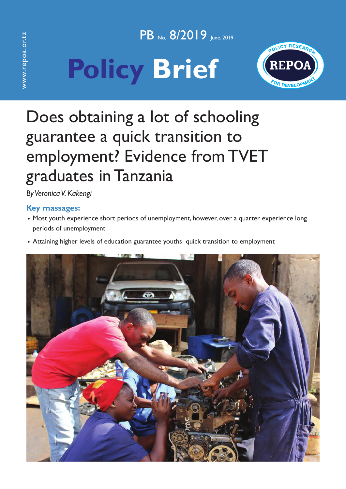www.repoa.or.tz www.repoa.or.tz PB No. 8/2019 Iune, 2019





# Does obtaining a lot of schooling guarantee a quick transition to employment? Evidence from TVET graduates in Tanzania

*By Veronica V. Kakengi*

## **Key massages:**

- ◆ Most youth experience short periods of unemployment, however, over a quarter experience long periods of unemployment
- ◆ Attaining higher levels of education guarantee youths quick transition to employment

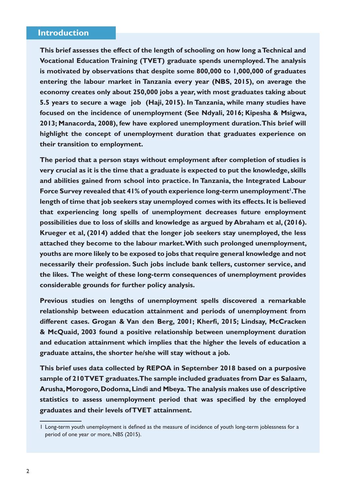#### **Introduction**

**This brief assesses the effect of the length of schooling on how long a Technical and Vocational Education Training (TVET) graduate spends unemployed. The analysis is motivated by observations that despite some 800,000 to 1,000,000 of graduates entering the labour market in Tanzania every year (NBS, 2015), on average the economy creates only about 250,000 jobs a year, with most graduates taking about 5.5 years to secure a wage job (Haji, 2015). In Tanzania, while many studies have focused on the incidence of unemployment (See Ndyali, 2016; Kipesha & Msigwa, 2013; Manacorda, 2008), few have explored unemployment duration. This brief will highlight the concept of unemployment duration that graduates experience on their transition to employment.**

**The period that a person stays without employment after completion of studies is very crucial as it is the time that a graduate is expected to put the knowledge, skills and abilities gained from school into practice. In Tanzania, the Integrated Labour**  Force Survey revealed that 41% of youth experience long-term unemployment<sup>1</sup>. The **length of time that job seekers stay unemployed comes with its effects. It is believed that experiencing long spells of unemployment decreases future employment possibilities due to loss of skills and knowledge as argued by Abraham et al, (2016). Krueger et al, (2014) added that the longer job seekers stay unemployed, the less attached they become to the labour market. With such prolonged unemployment, youths are more likely to be exposed to jobs that require general knowledge and not necessarily their profession. Such jobs include bank tellers, customer service, and the likes. The weight of these long-term consequences of unemployment provides considerable grounds for further policy analysis.**

**Previous studies on lengths of unemployment spells discovered a remarkable relationship between education attainment and periods of unemployment from different cases. Grogan & Van den Berg, 2001; Kherfi, 2015; Lindsay, McCracken & McQuaid, 2003 found a positive relationship between unemployment duration and education attainment which implies that the higher the levels of education a graduate attains, the shorter he/she will stay without a job.** 

**This brief uses data collected by REPOA in September 2018 based on a purposive sample of 210 TVET graduates. The sample included graduates from Dar es Salaam, Arusha, Morogoro, Dodoma, Lindi and Mbeya. The analysis makes use of descriptive statistics to assess unemployment period that was specified by the employed graduates and their levels of TVET attainment.**

<sup>1</sup> Long-term youth unemployment is defined as the measure of incidence of youth long-term joblessness for a period of one year or more, NBS (2015).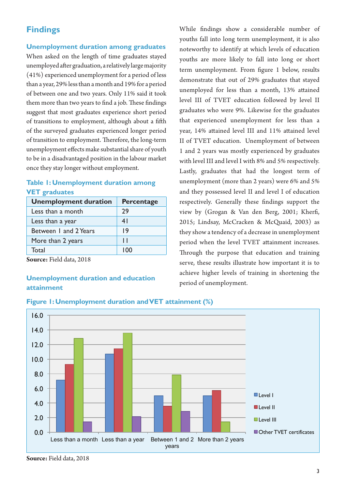# **Findings**

#### **Unemployment duration among graduates**

When asked on the length of time graduates stayed unemployed after graduation, a relatively large majority (41%) experienced unemployment for a period of less than a year, 29% less than a month and 19% for a period of between one and two years. Only 11% said it took them more than two years to find a job. These findings suggest that most graduates experience short period of transitions to employment, although about a fifth of the surveyed graduates experienced longer period of transition to employment. Therefore, the long-term unemployment effects make substantial share of youth to be in a disadvantaged position in the labour market once they stay longer without employment.

#### **Table 1: Unemployment duration among VET graduates**

| <b>Unemployment duration</b> | <b>Percentage</b> |
|------------------------------|-------------------|
| Less than a month            | 29                |
| Less than a year             | 41                |
| Between 1 and 2 Years        | 19                |
| More than 2 years            | $\mathsf{L}$      |
| Total                        | 100               |

**Source:** Field data, 2018

### **Unemployment duration and education attainment**

While findings show a considerable number of youths fall into long term unemployment, it is also noteworthy to identify at which levels of education youths are more likely to fall into long or short term unemployment. From figure 1 below, results demonstrate that out of 29% graduates that stayed unemployed for less than a month, 13% attained level III of TVET education followed by level II graduates who were 9%. Likewise for the graduates that experienced unemployment for less than a year, 14% attained level III and 11% attained level II of TVET education. Unemployment of between 1 and 2 years was mostly experienced by graduates with level III and level I with 8% and 5% respectively. Lastly, graduates that had the longest term of unemployment (more than 2 years) were 6% and 5% and they possessed level II and level I of education respectively. Generally these findings support the view by (Grogan & Van den Berg, 2001; Kherfi, 2015; Lindsay, McCracken & McQuaid, 2003) as they show a tendency of a decrease in unemployment period when the level TVET attainment increases. Through the purpose that education and training serve, these results illustrate how important it is to achieve higher levels of training in shortening the period of unemployment.



#### **Figure 1: Unemployment duration and VET attainment (%)**

**Source:** Field data, 2018